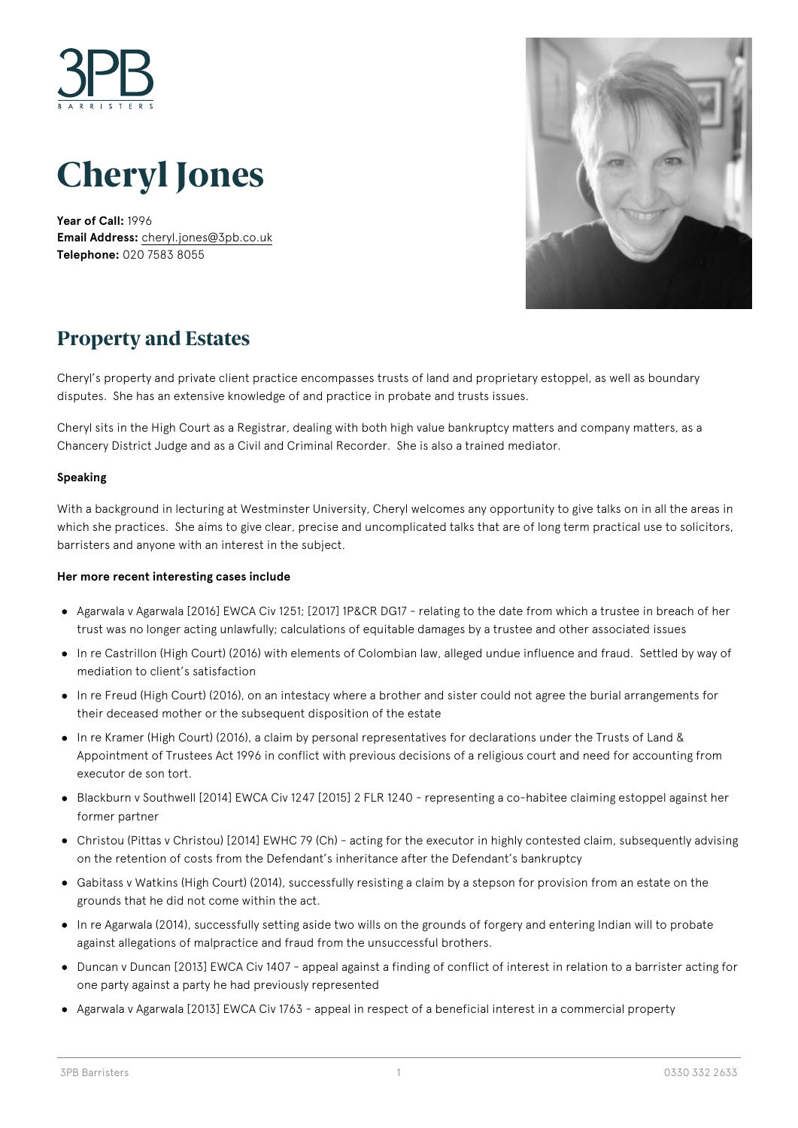



**Year of Call:** 1996 **Email Address:** [cheryl.jones@3pb.co.uk](mailto:cheryl.jones@3pb.co.uk) **Telephone:** 020 7583 8055



## **Property and Estates**

Cheryl's property and private client practice encompasses trusts of land and proprietary estoppel, as well as boundary disputes. She has an extensive knowledge of and practice in probate and trusts issues.

Cheryl sits in the High Court as a Registrar, dealing with both high value bankruptcy matters and company matters, as a Chancery District Judge and as a Civil and Criminal Recorder. She is also a trained mediator.

### **Speaking**

With a background in lecturing at Westminster University, Cheryl welcomes any opportunity to give talks on in all the areas in which she practices. She aims to give clear, precise and uncomplicated talks that are of long term practical use to solicitors, barristers and anyone with an interest in the subject.

#### **Her more recent interesting cases include**

- Agarwala v Agarwala [2016] EWCA Civ 1251; [2017] 1P&CR DG17 relating to the date from which a trustee in breach of her trust was no longer acting unlawfully; calculations of equitable damages by a trustee and other associated issues
- In re Castrillon (High Court) (2016) with elements of Colombian law, alleged undue influence and fraud. Settled by way of mediation to client's satisfaction
- In re Freud (High Court) (2016), on an intestacy where a brother and sister could not agree the burial arrangements for their deceased mother or the subsequent disposition of the estate
- In re Kramer (High Court) (2016), a claim by personal representatives for declarations under the Trusts of Land & Appointment of Trustees Act 1996 in conflict with previous decisions of a religious court and need for accounting from executor de son tort.
- Blackburn v Southwell [2014] EWCA Civ 1247 [2015] 2 FLR 1240 representing a co-habitee claiming estoppel against her former partner
- Christou (Pittas v Christou) [2014] EWHC 79 (Ch) acting for the executor in highly contested claim, subsequently advising on the retention of costs from the Defendant's inheritance after the Defendant's bankruptcy
- Gabitass v Watkins (High Court) (2014), successfully resisting a claim by a stepson for provision from an estate on the grounds that he did not come within the act.
- In re Agarwala (2014), successfully setting aside two wills on the grounds of forgery and entering Indian will to probate against allegations of malpractice and fraud from the unsuccessful brothers.
- Duncan v Duncan [2013] EWCA Civ 1407 appeal against a finding of conflict of interest in relation to a barrister acting for one party against a party he had previously represented
- Agarwala v Agarwala [2013] EWCA Civ 1763 appeal in respect of a beneficial interest in a commercial property